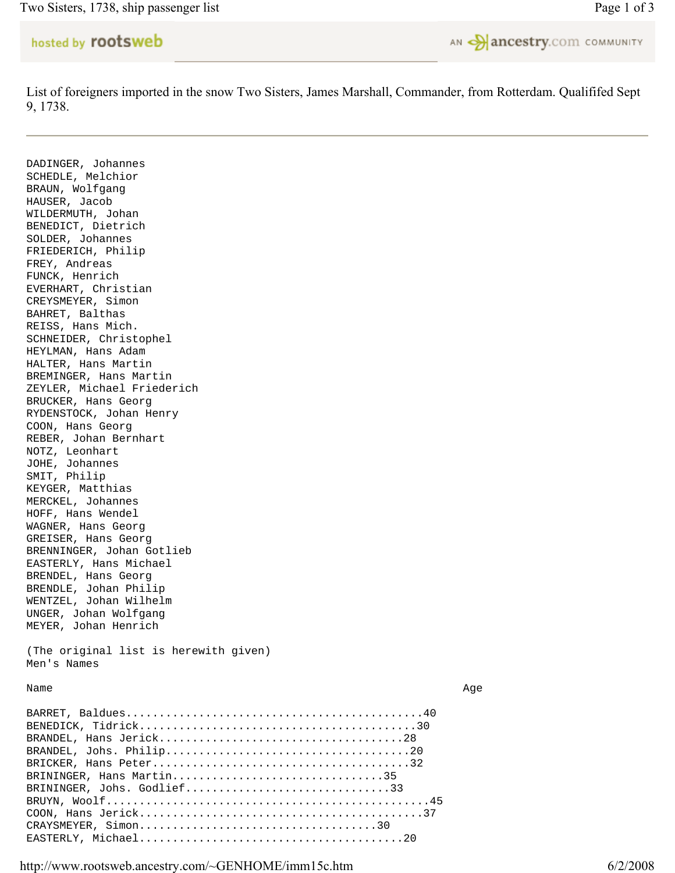Two Sisters, 1738, ship passenger list Page 1 of 3

## hosted by rootsweb



List of foreigners imported in the snow Two Sisters, James Marshall, Commander, from Rotterdam. Qualififed Sept 9, 1738.

DADINGER, Johannes SCHEDLE, Melchior BRAUN, Wolfgang HAUSER, Jacob WILDERMUTH, Johan BENEDICT, Dietrich SOLDER, Johannes FRIEDERICH, Philip FREY, Andreas FUNCK, Henrich EVERHART, Christian CREYSMEYER, Simon BAHRET, Balthas REISS, Hans Mich. SCHNEIDER, Christophel HEYLMAN, Hans Adam HALTER, Hans Martin BREMINGER, Hans Martin ZEYLER, Michael Friederich BRUCKER, Hans Georg RYDENSTOCK, Johan Henry COON, Hans Georg REBER, Johan Bernhart NOTZ, Leonhart JOHE, Johannes SMIT, Philip KEYGER, Matthias MERCKEL, Johannes HOFF, Hans Wendel WAGNER, Hans Georg GREISER, Hans Georg BRENNINGER, Johan Gotlieb EASTERLY, Hans Michael BRENDEL, Hans Georg BRENDLE, Johan Philip WENTZEL, Johan Wilhelm UNGER, Johan Wolfgang MEYER, Johan Henrich (The original list is herewith given) Men's Names Name and the set of the set of the set of the set of the set of the set of the set of the set of the set of the set of the set of the set of the set of the set of the set of the set of the set of the set of the set of the

## BARRET, Baldues.............................................40 BENEDICK, Tidrick..........................................30 BRANDEL, Hans Jerick.....................................28 BRANDEL, Johs. Philip.....................................20 BRICKER, Hans Peter.......................................32 BRININGER, Hans Martin...................................35 BRININGER, Johs. Godlief...............................33 BRUYN, Woolf.................................................45 COON, Hans Jerick...........................................37 CRAYSMEYER, Simon....................................30 EASTERLY, Michael........................................20

http://www.rootsweb.ancestry.com/~GENHOME/imm15c.htm 6/2/2008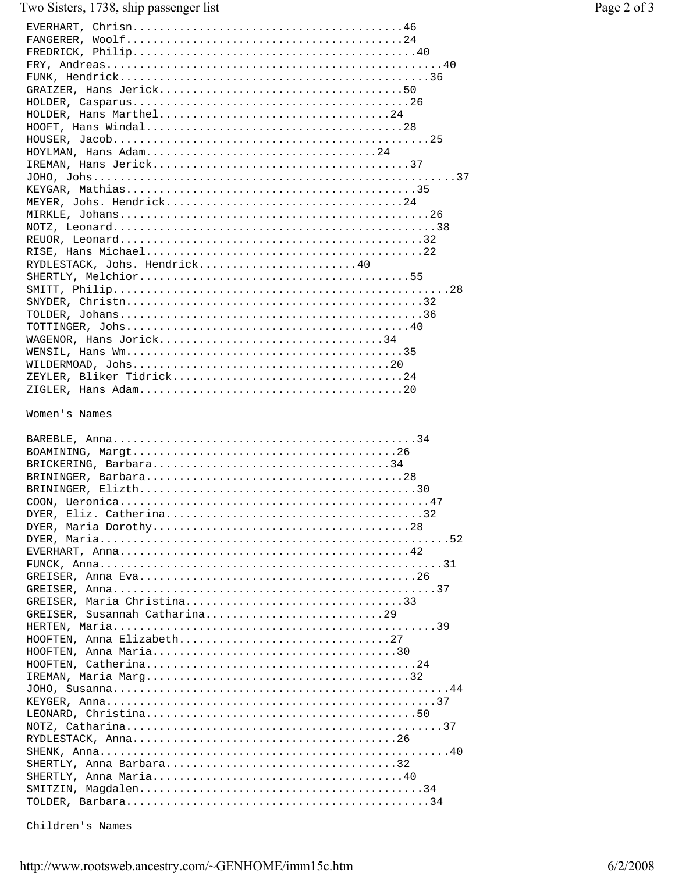## Two Sisters, 1738, ship passenger list

| HOLDER, Hans Marthel24        |
|-------------------------------|
|                               |
|                               |
| HOYLMAN, Hans Adam24          |
|                               |
|                               |
|                               |
|                               |
|                               |
|                               |
|                               |
| RYDLESTACK, Johs. Hendrick40  |
|                               |
|                               |
|                               |
|                               |
|                               |
| WAGENOR, Hans Jorick34        |
|                               |
|                               |
|                               |
|                               |
| Women's Names                 |
|                               |
|                               |
|                               |
|                               |
|                               |
|                               |
|                               |
|                               |
|                               |
|                               |
|                               |
|                               |
|                               |
|                               |
| GREISER, Maria Christina33    |
| GREISER, Susannah Catharina29 |
|                               |
| HOOFTEN, Anna Elizabeth27     |
|                               |
|                               |
|                               |
|                               |
|                               |
|                               |
|                               |
|                               |
|                               |
|                               |
|                               |

Children's Names